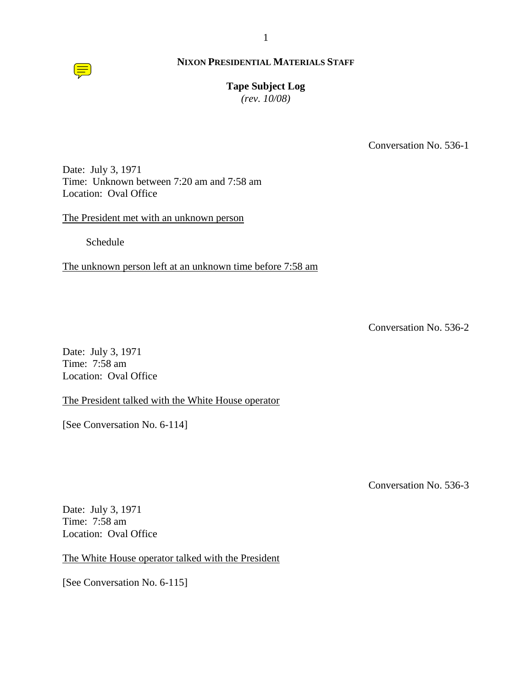

# **Tape Subject Log**

*(rev. 10/08)*

Conversation No. 536-1

Date: July 3, 1971 Time: Unknown between 7:20 am and 7:58 am Location: Oval Office

The President met with an unknown person

Schedule

The unknown person left at an unknown time before 7:58 am

Conversation No. 536-2

Date: July 3, 1971 Time: 7:58 am Location: Oval Office

The President talked with the White House operator

[See Conversation No. 6-114]

Conversation No. 536-3

Date: July 3, 1971 Time: 7:58 am Location: Oval Office

The White House operator talked with the President

[See Conversation No. 6-115]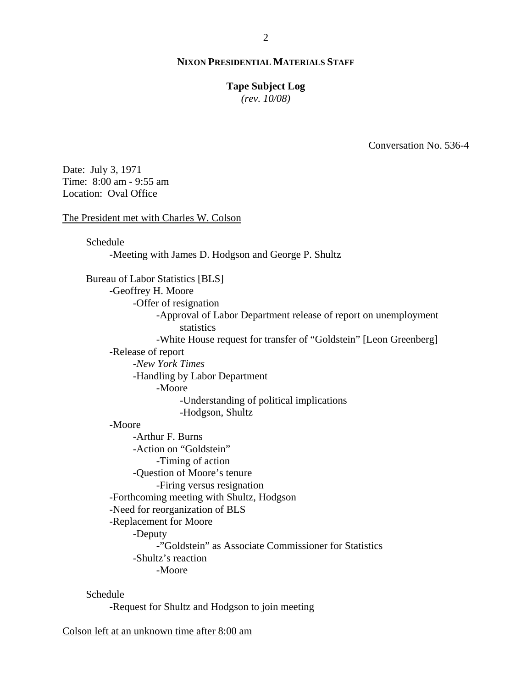#### **Tape Subject Log**

*(rev. 10/08)*

Conversation No. 536-4

Date: July 3, 1971 Time: 8:00 am - 9:55 am Location: Oval Office

#### The President met with Charles W. Colson

Schedule

-Meeting with James D. Hodgson and George P. Shultz

Bureau of Labor Statistics [BLS] -Geoffrey H. Moore -Offer of resignation -Approval of Labor Department release of report on unemployment **statistics** -White House request for transfer of "Goldstein" [Leon Greenberg] -Release of report -*New York Times* -Handling by Labor Department -Moore -Understanding of political implications -Hodgson, Shultz -Moore -Arthur F. Burns -Action on "Goldstein" -Timing of action -Question of Moore's tenure -Firing versus resignation -Forthcoming meeting with Shultz, Hodgson -Need for reorganization of BLS -Replacement for Moore -Deputy -"Goldstein" as Associate Commissioner for Statistics -Shultz's reaction -Moore

Schedule

-Request for Shultz and Hodgson to join meeting

Colson left at an unknown time after 8:00 am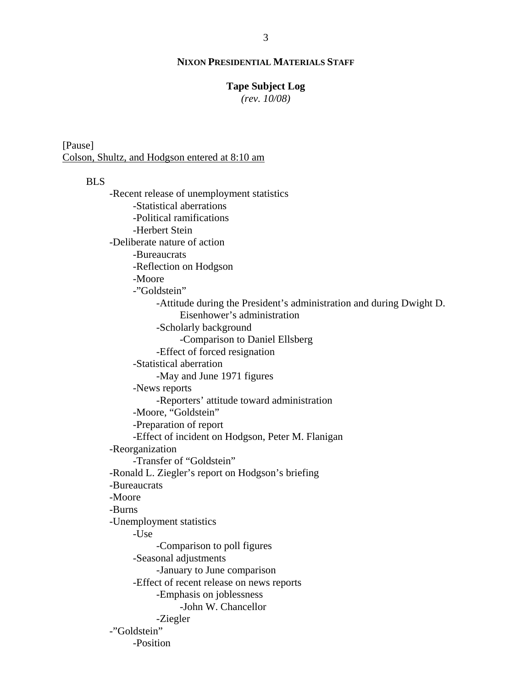#### **Tape Subject Log**

*(rev. 10/08)*

[Pause] Colson, Shultz, and Hodgson entered at 8:10 am

# BLS

-Recent release of unemployment statistics -Statistical aberrations -Political ramifications -Herbert Stein -Deliberate nature of action -Bureaucrats -Reflection on Hodgson -Moore -"Goldstein" -Attitude during the President's administration and during Dwight D. Eisenhower's administration -Scholarly background -Comparison to Daniel Ellsberg -Effect of forced resignation -Statistical aberration -May and June 1971 figures -News reports -Reporters' attitude toward administration -Moore, "Goldstein" -Preparation of report -Effect of incident on Hodgson, Peter M. Flanigan -Reorganization -Transfer of "Goldstein" -Ronald L. Ziegler's report on Hodgson's briefing -Bureaucrats -Moore -Burns -Unemployment statistics -Use -Comparison to poll figures -Seasonal adjustments -January to June comparison -Effect of recent release on news reports -Emphasis on joblessness -John W. Chancellor -Ziegler -"Goldstein" -Position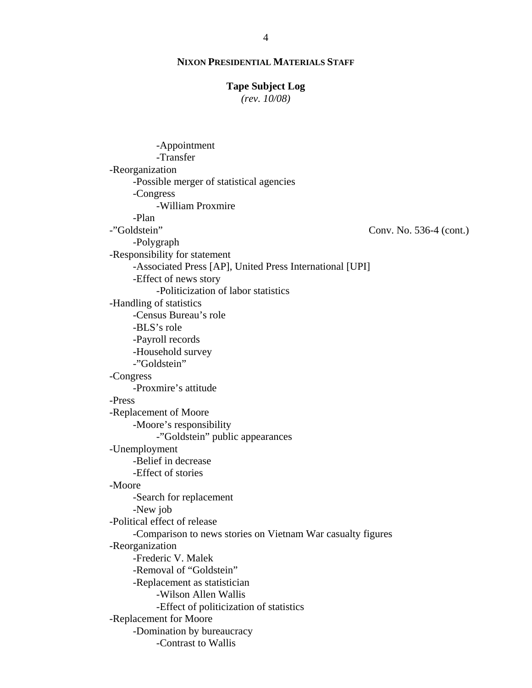#### **Tape Subject Log**

*(rev. 10/08)*

Conv. No. 536-4 (cont.) -Appointment -Transfer -Reorganization -Possible merger of statistical agencies -Congress -William Proxmire -Plan -"Goldstein" -Polygraph -Responsibility for statement -Associated Press [AP], United Press International [UPI] -Effect of news story -Politicization of labor statistics -Handling of statistics -Census Bureau's role -BLS's role -Payroll records -Household survey -"Goldstein" -Congress -Proxmire's attitude -Press -Replacement of Moore -Moore's responsibility -"Goldstein" public appearances -Unemployment -Belief in decrease -Effect of stories -Moore -Search for replacement -New job -Political effect of release -Comparison to news stories on Vietnam War casualty figures -Reorganization -Frederic V. Malek -Removal of "Goldstein" -Replacement as statistician -Wilson Allen Wallis -Effect of politicization of statistics -Replacement for Moore -Domination by bureaucracy -Contrast to Wallis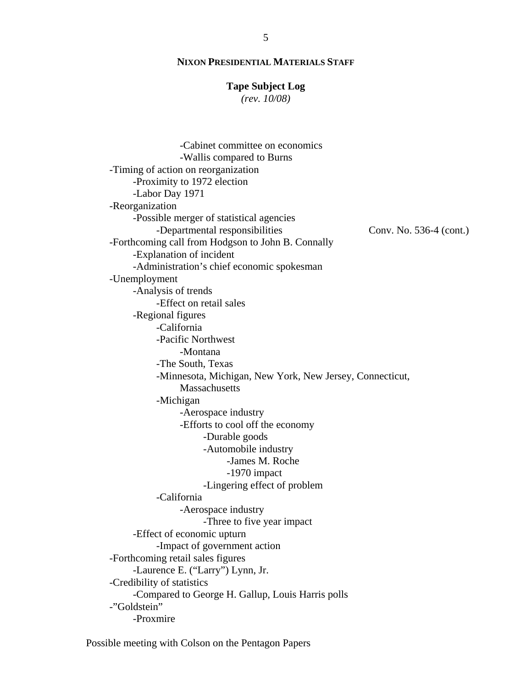#### **Tape Subject Log**

*(rev. 10/08)*

Conv. No. 536-4 (cont.) -Cabinet committee on economics -Wallis compared to Burns -Timing of action on reorganization -Proximity to 1972 election -Labor Day 1971 -Reorganization -Possible merger of statistical agencies -Departmental responsibilities -Forthcoming call from Hodgson to John B. Connally -Explanation of incident -Administration's chief economic spokesman -Unemployment -Analysis of trends -Effect on retail sales -Regional figures -California -Pacific Northwest -Montana -The South, Texas -Minnesota, Michigan, New York, New Jersey, Connecticut, **Massachusetts** -Michigan -Aerospace industry -Efforts to cool off the economy -Durable goods -Automobile industry -James M. Roche -1970 impact -Lingering effect of problem -California -Aerospace industry -Three to five year impact -Effect of economic upturn -Impact of government action -Forthcoming retail sales figures -Laurence E. ("Larry") Lynn, Jr. -Credibility of statistics -Compared to George H. Gallup, Louis Harris polls -"Goldstein" -Proxmire

Possible meeting with Colson on the Pentagon Papers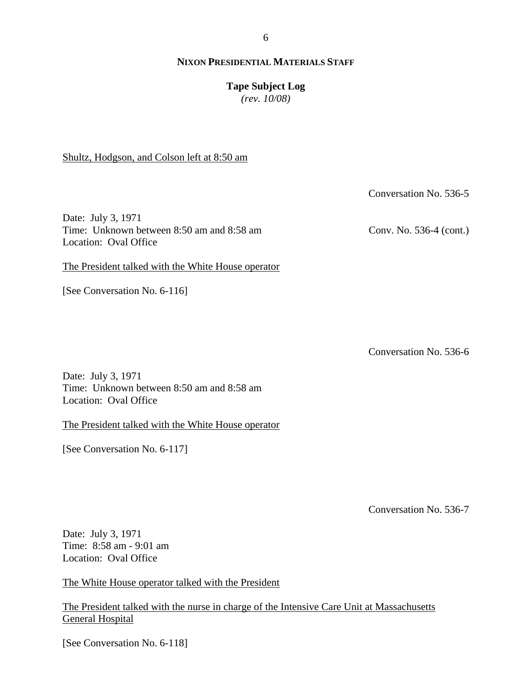#### **Tape Subject Log**

*(rev. 10/08)*

Shultz, Hodgson, and Colson left at 8:50 am

Date: July 3, 1971 Time: Unknown between 8:50 am and 8:58 am Location: Oval Office

The President talked with the White House operator

[See Conversation No. 6-116]

Conversation No. 536-6

Date: July 3, 1971 Time: Unknown between 8:50 am and 8:58 am Location: Oval Office

The President talked with the White House operator

[See Conversation No. 6-117]

Conversation No. 536-7

Date: July 3, 1971 Time: 8:58 am - 9:01 am Location: Oval Office

The White House operator talked with the President

The President talked with the nurse in charge of the Intensive Care Unit at Massachusetts General Hospital

[See Conversation No. 6-118]

Conv. No. 536-4 (cont.)

Conversation No. 536-5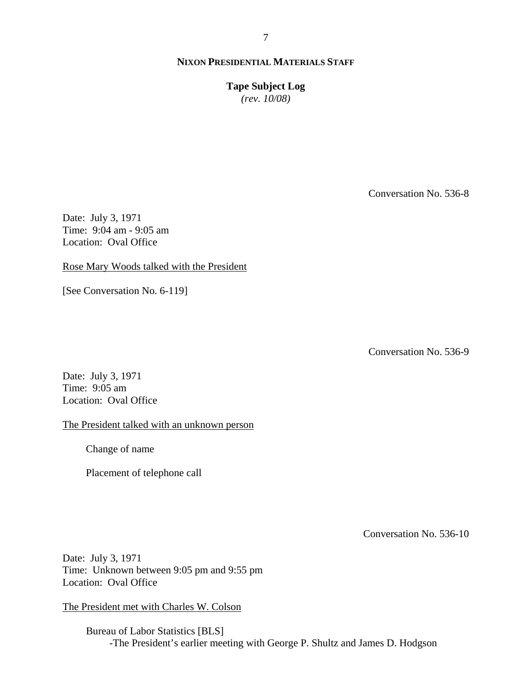**Tape Subject Log**

*(rev. 10/08)*

Conversation No. 536-8

Date: July 3, 1971 Time: 9:04 am - 9:05 am Location: Oval Office

Rose Mary Woods talked with the President

[See Conversation No. 6-119]

Conversation No. 536-9

Date: July 3, 1971 Time: 9:05 am Location: Oval Office

The President talked with an unknown person

Change of name

Placement of telephone call

Conversation No. 536-10

Date: July 3, 1971 Time: Unknown between 9:05 pm and 9:55 pm Location: Oval Office

The President met with Charles W. Colson

Bureau of Labor Statistics [BLS] -The President's earlier meeting with George P. Shultz and James D. Hodgson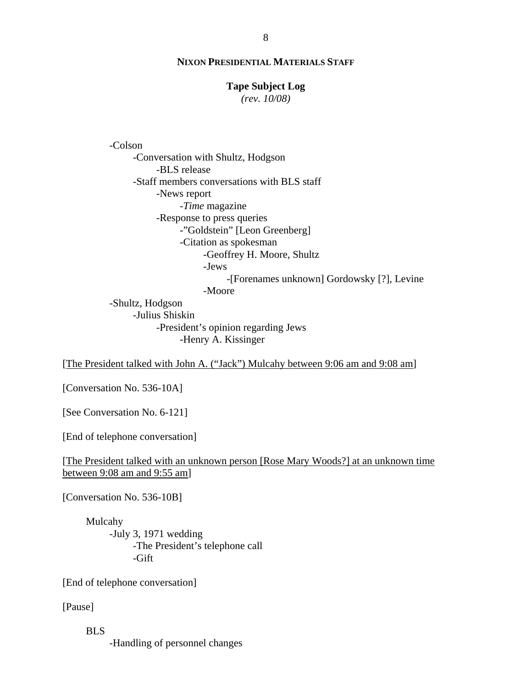# **Tape Subject Log**

*(rev. 10/08)*

-Colson

-Conversation with Shultz, Hodgson -BLS release -Staff members conversations with BLS staff -News report -*Time* magazine -Response to press queries -"Goldstein" [Leon Greenberg] -Citation as spokesman -Geoffrey H. Moore, Shultz -Jews -[Forenames unknown] Gordowsky [?], Levine -Moore -Shultz, Hodgson -Julius Shiskin -President's opinion regarding Jews

-Henry A. Kissinger

[The President talked with John A. ("Jack") Mulcahy between 9:06 am and 9:08 am]

[Conversation No. 536-10A]

[See Conversation No. 6-121]

[End of telephone conversation]

[The President talked with an unknown person [Rose Mary Woods?] at an unknown time between 9:08 am and 9:55 am]

[Conversation No. 536-10B]

Mulcahy -July 3, 1971 wedding -The President's telephone call -Gift

[End of telephone conversation]

[Pause]

BLS -Handling of personnel changes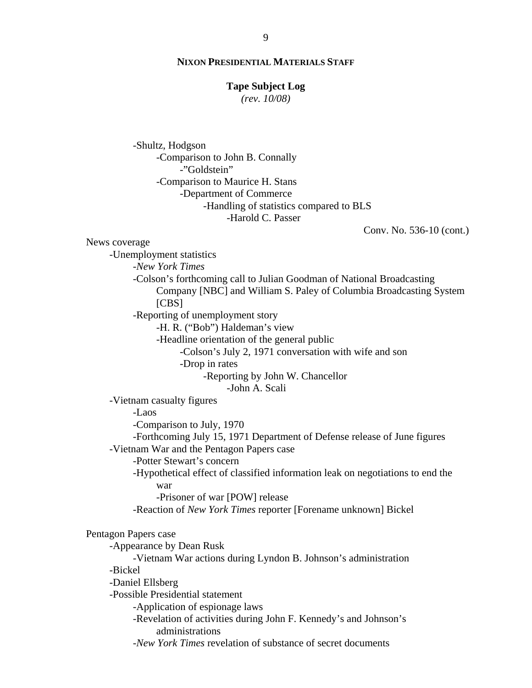#### **Tape Subject Log**

*(rev. 10/08)*

-Shultz, Hodgson -Comparison to John B. Connally -"Goldstein" -Comparison to Maurice H. Stans -Department of Commerce -Handling of statistics compared to BLS -Harold C. Passer

Conv. No. 536-10 (cont.)

News coverage

-Unemployment statistics

-*New York Times*

-Colson's forthcoming call to Julian Goodman of National Broadcasting Company [NBC] and William S. Paley of Columbia Broadcasting System [CBS]

-Reporting of unemployment story

-H. R. ("Bob") Haldeman's view

-Headline orientation of the general public

-Colson's July 2, 1971 conversation with wife and son

-Drop in rates

-Reporting by John W. Chancellor

-John A. Scali

-Vietnam casualty figures

-Laos

-Comparison to July, 1970

-Forthcoming July 15, 1971 Department of Defense release of June figures -Vietnam War and the Pentagon Papers case

-Potter Stewart's concern

-Hypothetical effect of classified information leak on negotiations to end the war

-Prisoner of war [POW] release

-Reaction of *New York Times* reporter [Forename unknown] Bickel

#### Pentagon Papers case

-Appearance by Dean Rusk

-Vietnam War actions during Lyndon B. Johnson's administration -Bickel

-Daniel Ellsberg

-Possible Presidential statement

-Application of espionage laws

-Revelation of activities during John F. Kennedy's and Johnson's administrations

-*New York Times* revelation of substance of secret documents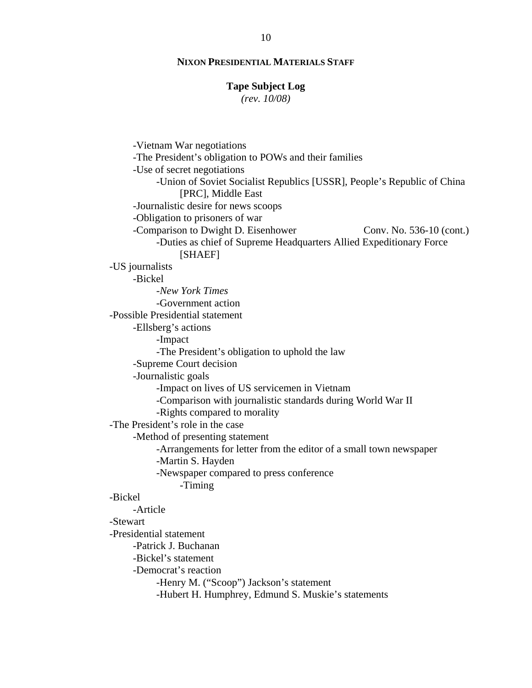#### **Tape Subject Log**

*(rev. 10/08)*

Conv. No. 536-10 (cont.) -Vietnam War negotiations -The President's obligation to POWs and their families -Use of secret negotiations -Union of Soviet Socialist Republics [USSR], People's Republic of China [PRC], Middle East -Journalistic desire for news scoops -Obligation to prisoners of war -Comparison to Dwight D. Eisenhower -Duties as chief of Supreme Headquarters Allied Expeditionary Force [SHAEF] -US journalists -Bickel -*New York Times* -Government action -Possible Presidential statement -Ellsberg's actions -Impact -The President's obligation to uphold the law -Supreme Court decision -Journalistic goals -Impact on lives of US servicemen in Vietnam -Comparison with journalistic standards during World War II -Rights compared to morality -The President's role in the case -Method of presenting statement -Arrangements for letter from the editor of a small town newspaper -Martin S. Hayden -Newspaper compared to press conference -Timing -Bickel -Article -Stewart -Presidential statement -Patrick J. Buchanan -Bickel's statement -Democrat's reaction -Henry M. ("Scoop") Jackson's statement -Hubert H. Humphrey, Edmund S. Muskie's statements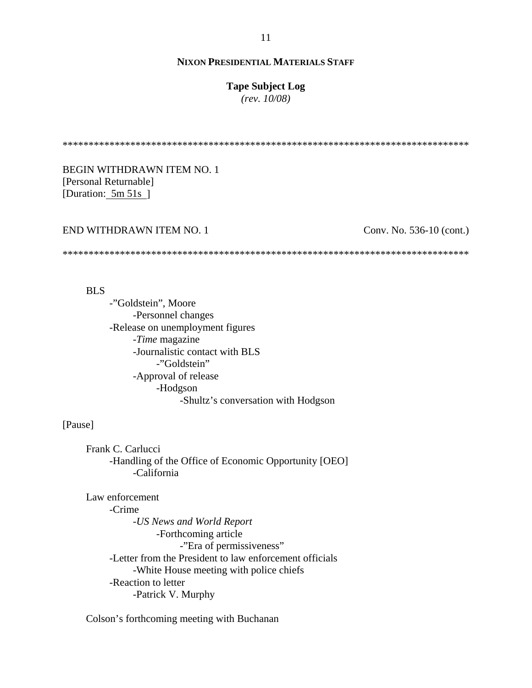#### **Tape Subject Log**

*(rev. 10/08)*

\*\*\*\*\*\*\*\*\*\*\*\*\*\*\*\*\*\*\*\*\*\*\*\*\*\*\*\*\*\*\*\*\*\*\*\*\*\*\*\*\*\*\*\*\*\*\*\*\*\*\*\*\*\*\*\*\*\*\*\*\*\*\*\*\*\*\*\*\*\*\*\*\*\*\*\*\*\*

BEGIN WITHDRAWN ITEM NO. 1 [Personal Returnable] [Duration: 5m 51s]

#### END WITHDRAWN ITEM NO. 1

Conv. No. 536-10 (cont.)

\*\*\*\*\*\*\*\*\*\*\*\*\*\*\*\*\*\*\*\*\*\*\*\*\*\*\*\*\*\*\*\*\*\*\*\*\*\*\*\*\*\*\*\*\*\*\*\*\*\*\*\*\*\*\*\*\*\*\*\*\*\*\*\*\*\*\*\*\*\*\*\*\*\*\*\*\*\*

BLS

-"Goldstein", Moore -Personnel changes -Release on unemployment figures -*Time* magazine -Journalistic contact with BLS -"Goldstein" -Approval of release -Hodgson -Shultz's conversation with Hodgson

# [Pause]

Frank C. Carlucci -Handling of the Office of Economic Opportunity [OEO] -California

Law enforcement -Crime -*US News and World Report* -Forthcoming article -"Era of permissiveness" -Letter from the President to law enforcement officials -White House meeting with police chiefs -Reaction to letter -Patrick V. Murphy

Colson's forthcoming meeting with Buchanan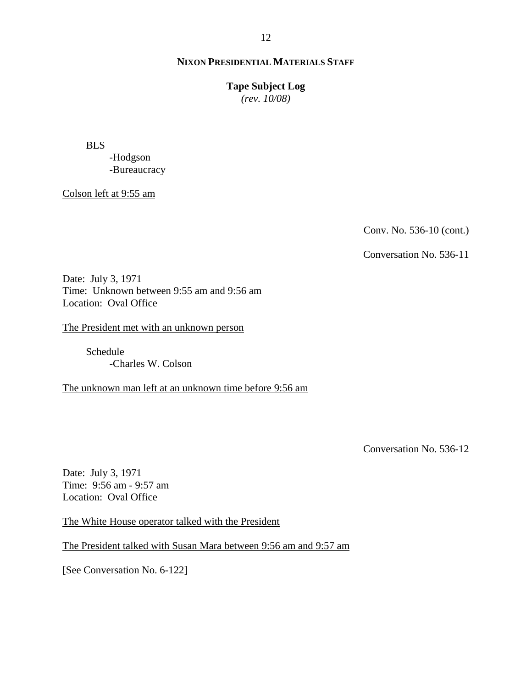### **Tape Subject Log**

*(rev. 10/08)*

BLS

-Hodgson -Bureaucracy

Colson left at 9:55 am

Conv. No. 536-10 (cont.)

Conversation No. 536-11

Date: July 3, 1971 Time: Unknown between 9:55 am and 9:56 am Location: Oval Office

The President met with an unknown person

Schedule -Charles W. Colson

The unknown man left at an unknown time before 9:56 am

Conversation No. 536-12

Date: July 3, 1971 Time: 9:56 am - 9:57 am Location: Oval Office

The White House operator talked with the President

The President talked with Susan Mara between 9:56 am and 9:57 am

[See Conversation No. 6-122]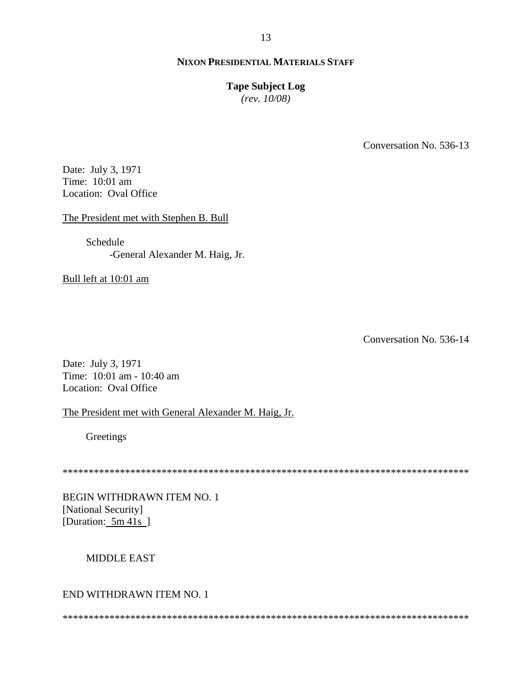#### **Tape Subject Log**

*(rev. 10/08)*

Conversation No. 536-13

Date: July 3, 1971 Time: 10:01 am Location: Oval Office

The President met with Stephen B. Bull

Schedule -General Alexander M. Haig, Jr.

Bull left at 10:01 am

Conversation No. 536-14

Date: July 3, 1971 Time: 10:01 am - 10:40 am Location: Oval Office

The President met with General Alexander M. Haig, Jr.

**Greetings** 

\*\*\*\*\*\*\*\*\*\*\*\*\*\*\*\*\*\*\*\*\*\*\*\*\*\*\*\*\*\*\*\*\*\*\*\*\*\*\*\*\*\*\*\*\*\*\*\*\*\*\*\*\*\*\*\*\*\*\*\*\*\*\*\*\*\*\*\*\*\*\*\*\*\*\*\*\*\*

BEGIN WITHDRAWN ITEM NO. 1 [National Security] [Duration: 5m 41s]

#### MIDDLE EAST

# END WITHDRAWN ITEM NO. 1

\*\*\*\*\*\*\*\*\*\*\*\*\*\*\*\*\*\*\*\*\*\*\*\*\*\*\*\*\*\*\*\*\*\*\*\*\*\*\*\*\*\*\*\*\*\*\*\*\*\*\*\*\*\*\*\*\*\*\*\*\*\*\*\*\*\*\*\*\*\*\*\*\*\*\*\*\*\*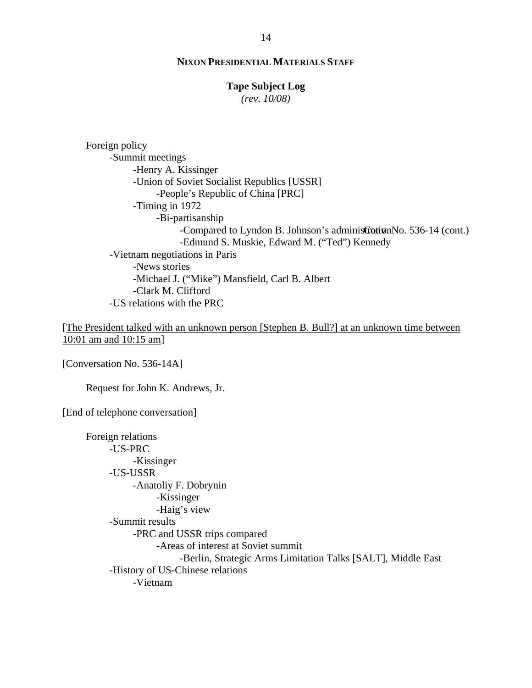# **Tape Subject Log**

*(rev. 10/08)*

-Compared to Lyndon B. Johnson's administration No. 536-14 (cont.) Foreign policy -Summit meetings -Henry A. Kissinger -Union of Soviet Socialist Republics [USSR] -People's Republic of China [PRC] -Timing in 1972 -Bi-partisanship -Edmund S. Muskie, Edward M. ("Ted") Kennedy -Vietnam negotiations in Paris -News stories -Michael J. ("Mike") Mansfield, Carl B. Albert -Clark M. Clifford -US relations with the PRC

[The President talked with an unknown person [Stephen B. Bull?] at an unknown time between 10:01 am and 10:15 am]

[Conversation No. 536-14A]

Request for John K. Andrews, Jr.

[End of telephone conversation]

Foreign relations -US-PRC -Kissinger -US-USSR -Anatoliy F. Dobrynin -Kissinger -Haig's view -Summit results -PRC and USSR trips compared -Areas of interest at Soviet summit -Berlin, Strategic Arms Limitation Talks [SALT], Middle East -History of US-Chinese relations -Vietnam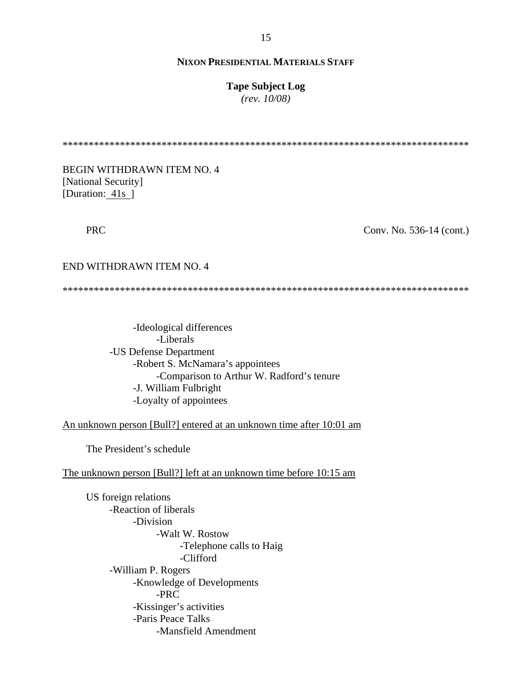#### **Tape Subject Log**

*(rev. 10/08)*

\*\*\*\*\*\*\*\*\*\*\*\*\*\*\*\*\*\*\*\*\*\*\*\*\*\*\*\*\*\*\*\*\*\*\*\*\*\*\*\*\*\*\*\*\*\*\*\*\*\*\*\*\*\*\*\*\*\*\*\*\*\*\*\*\*\*\*\*\*\*\*\*\*\*\*\*\*\*

BEGIN WITHDRAWN ITEM NO. 4 [National Security] [Duration: 41s ]

PRC

Conv. No. 536-14 (cont.)

#### END WITHDRAWN ITEM NO. 4

\*\*\*\*\*\*\*\*\*\*\*\*\*\*\*\*\*\*\*\*\*\*\*\*\*\*\*\*\*\*\*\*\*\*\*\*\*\*\*\*\*\*\*\*\*\*\*\*\*\*\*\*\*\*\*\*\*\*\*\*\*\*\*\*\*\*\*\*\*\*\*\*\*\*\*\*\*\*

-Ideological differences -Liberals -US Defense Department -Robert S. McNamara's appointees -Comparison to Arthur W. Radford's tenure -J. William Fulbright -Loyalty of appointees

An unknown person [Bull?] entered at an unknown time after 10:01 am

The President's schedule

The unknown person [Bull?] left at an unknown time before 10:15 am

US foreign relations -Reaction of liberals -Division -Walt W. Rostow -Telephone calls to Haig -Clifford -William P. Rogers -Knowledge of Developments -PRC -Kissinger's activities -Paris Peace Talks -Mansfield Amendment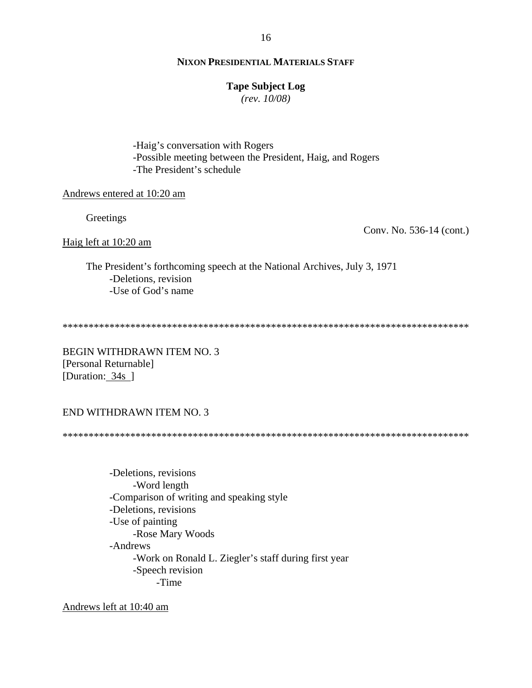## **Tape Subject Log**

*(rev. 10/08)*

-Haig's conversation with Rogers -Possible meeting between the President, Haig, and Rogers -The President's schedule

#### Andrews entered at 10:20 am

Greetings

Conv. No. 536-14 (cont.)

Haig left at 10:20 am

The President's forthcoming speech at the National Archives, July 3, 1971 -Deletions, revision -Use of God's name

\*\*\*\*\*\*\*\*\*\*\*\*\*\*\*\*\*\*\*\*\*\*\*\*\*\*\*\*\*\*\*\*\*\*\*\*\*\*\*\*\*\*\*\*\*\*\*\*\*\*\*\*\*\*\*\*\*\*\*\*\*\*\*\*\*\*\*\*\*\*\*\*\*\*\*\*\*\*

BEGIN WITHDRAWN ITEM NO. 3 [Personal Returnable] [Duration: 34s ]

# END WITHDRAWN ITEM NO. 3

\*\*\*\*\*\*\*\*\*\*\*\*\*\*\*\*\*\*\*\*\*\*\*\*\*\*\*\*\*\*\*\*\*\*\*\*\*\*\*\*\*\*\*\*\*\*\*\*\*\*\*\*\*\*\*\*\*\*\*\*\*\*\*\*\*\*\*\*\*\*\*\*\*\*\*\*\*\*

-Deletions, revisions -Word length -Comparison of writing and speaking style -Deletions, revisions -Use of painting -Rose Mary Woods -Andrews -Work on Ronald L. Ziegler's staff during first year -Speech revision -Time

Andrews left at 10:40 am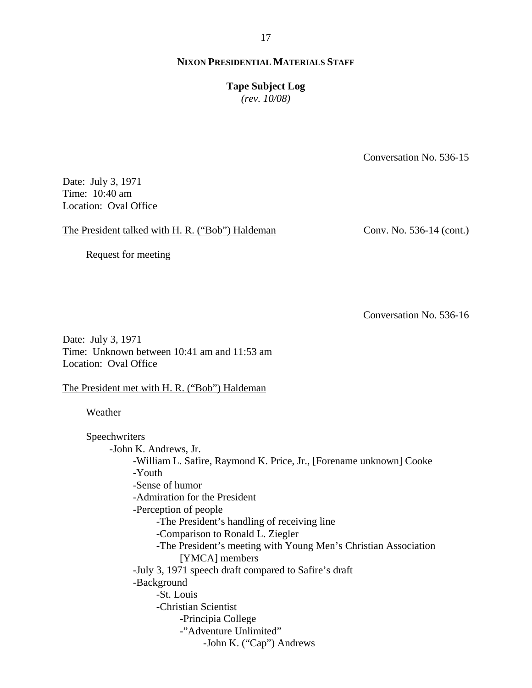17

# **NIXON PRESIDENTIAL MATERIALS STAFF**

# **Tape Subject Log**

*(rev. 10/08)*

Conversation No. 536-15

Date: July 3, 1971 Time: 10:40 am Location: Oval Office

The President talked with H. R. ("Bob") Haldeman

Conv. No. 536-14 (cont.)

Request for meeting

Conversation No. 536-16

Date: July 3, 1971 Time: Unknown between 10:41 am and 11:53 am Location: Oval Office

The President met with H. R. ("Bob") Haldeman

Weather

Speechwriters -John K. Andrews, Jr. -William L. Safire, Raymond K. Price, Jr., [Forename unknown] Cooke -Youth -Sense of humor -Admiration for the President -Perception of people -The President's handling of receiving line -Comparison to Ronald L. Ziegler -The President's meeting with Young Men's Christian Association [YMCA] members -July 3, 1971 speech draft compared to Safire's draft -Background -St. Louis -Christian Scientist -Principia College -"Adventure Unlimited" -John K. ("Cap") Andrews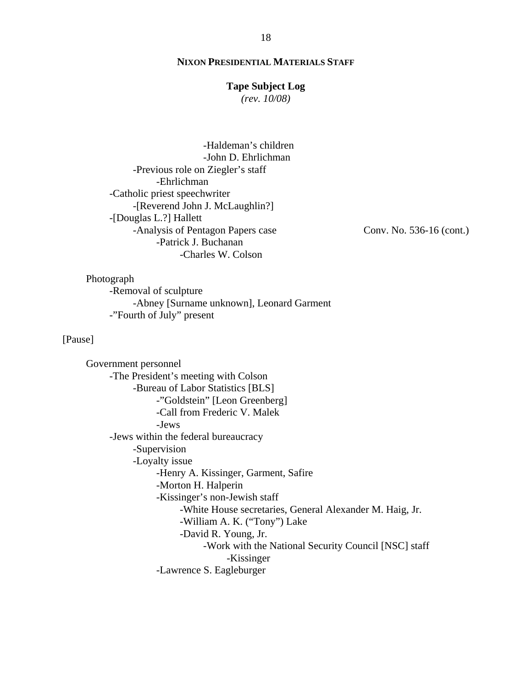# **Tape Subject Log**

*(rev. 10/08)*

-Haldeman's children -John D. Ehrlichman -Previous role on Ziegler's staff -Ehrlichman -Catholic priest speechwriter -[Reverend John J. McLaughlin?] -[Douglas L.?] Hallett -Analysis of Pentagon Papers case -Patrick J. Buchanan -Charles W. Colson

Conv. No. 536-16 (cont.)

Photograph -Removal of sculpture -Abney [Surname unknown], Leonard Garment -"Fourth of July" present

# [Pause]

Government personnel -The President's meeting with Colson -Bureau of Labor Statistics [BLS] -"Goldstein" [Leon Greenberg] -Call from Frederic V. Malek -Jews -Jews within the federal bureaucracy -Supervision -Loyalty issue -Henry A. Kissinger, Garment, Safire -Morton H. Halperin -Kissinger's non-Jewish staff -White House secretaries, General Alexander M. Haig, Jr. -William A. K. ("Tony") Lake -David R. Young, Jr. -Work with the National Security Council [NSC] staff -Kissinger -Lawrence S. Eagleburger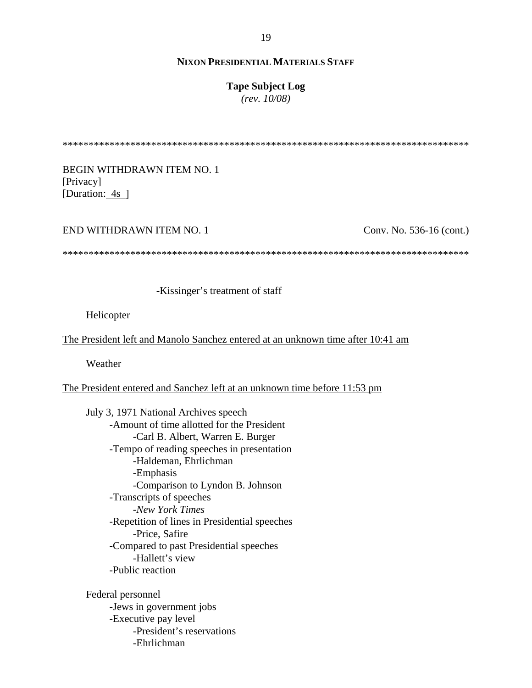## **Tape Subject Log**

*(rev. 10/08)*

\*\*\*\*\*\*\*\*\*\*\*\*\*\*\*\*\*\*\*\*\*\*\*\*\*\*\*\*\*\*\*\*\*\*\*\*\*\*\*\*\*\*\*\*\*\*\*\*\*\*\*\*\*\*\*\*\*\*\*\*\*\*\*\*\*\*\*\*\*\*\*\*\*\*\*\*\*\*

BEGIN WITHDRAWN ITEM NO. 1 [Privacy] [Duration: 4s ]

#### END WITHDRAWN ITEM NO. 1

Conv. No. 536-16 (cont.)

\*\*\*\*\*\*\*\*\*\*\*\*\*\*\*\*\*\*\*\*\*\*\*\*\*\*\*\*\*\*\*\*\*\*\*\*\*\*\*\*\*\*\*\*\*\*\*\*\*\*\*\*\*\*\*\*\*\*\*\*\*\*\*\*\*\*\*\*\*\*\*\*\*\*\*\*\*\*

-Kissinger's treatment of staff

Helicopter

The President left and Manolo Sanchez entered at an unknown time after 10:41 am

Weather

The President entered and Sanchez left at an unknown time before 11:53 pm

July 3, 1971 National Archives speech -Amount of time allotted for the President -Carl B. Albert, Warren E. Burger -Tempo of reading speeches in presentation -Haldeman, Ehrlichman -Emphasis -Comparison to Lyndon B. Johnson -Transcripts of speeches -*New York Times* -Repetition of lines in Presidential speeches -Price, Safire -Compared to past Presidential speeches -Hallett's view -Public reaction

Federal personnel -Jews in government jobs -Executive pay level -President's reservations -Ehrlichman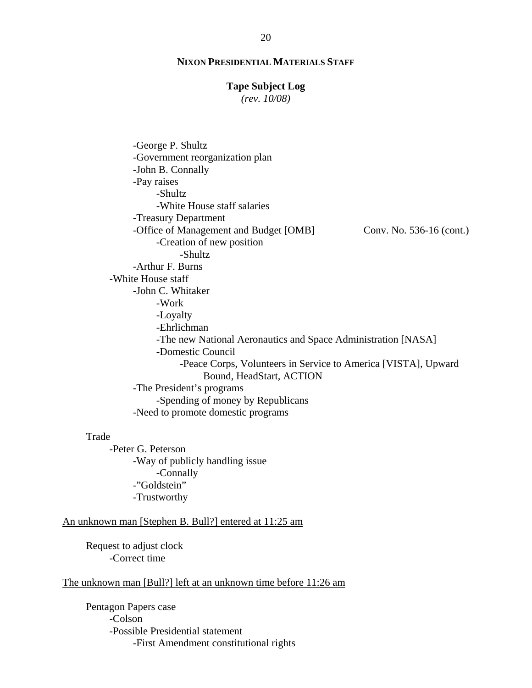#### **Tape Subject Log**

*(rev. 10/08)*

Conv. No. 536-16 (cont.) -George P. Shultz -Government reorganization plan -John B. Connally -Pay raises -Shultz -White House staff salaries -Treasury Department -Office of Management and Budget [OMB] -Creation of new position -Shultz -Arthur F. Burns -White House staff -John C. Whitaker -Work -Loyalty -Ehrlichman -The new National Aeronautics and Space Administration [NASA] -Domestic Council -Peace Corps, Volunteers in Service to America [VISTA], Upward Bound, HeadStart, ACTION -The President's programs -Spending of money by Republicans -Need to promote domestic programs

#### Trade

-Peter G. Peterson -Way of publicly handling issue -Connally -"Goldstein" -Trustworthy

# An unknown man [Stephen B. Bull?] entered at 11:25 am

Request to adjust clock -Correct time

#### The unknown man [Bull?] left at an unknown time before 11:26 am

Pentagon Papers case -Colson -Possible Presidential statement -First Amendment constitutional rights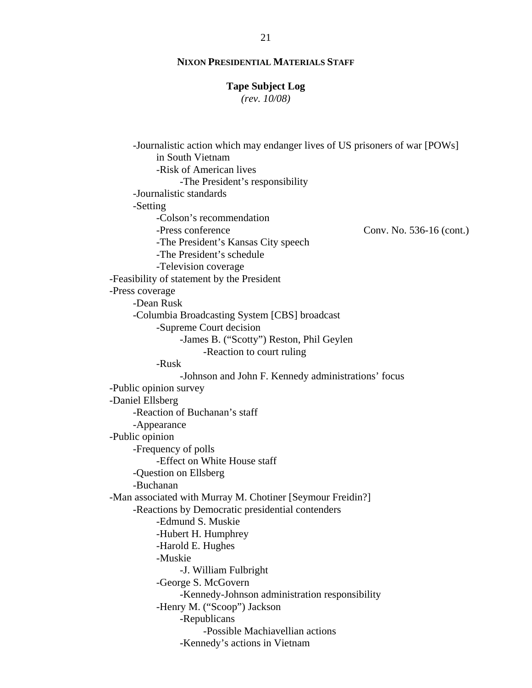#### **Tape Subject Log**

*(rev. 10/08)*

Conv. No. 536-16 (cont.) -Journalistic action which may endanger lives of US prisoners of war [POWs] in South Vietnam -Risk of American lives -The President's responsibility -Journalistic standards -Setting -Colson's recommendation -Press conference -The President's Kansas City speech -The President's schedule -Television coverage -Feasibility of statement by the President -Press coverage -Dean Rusk -Columbia Broadcasting System [CBS] broadcast -Supreme Court decision -James B. ("Scotty") Reston, Phil Geylen -Reaction to court ruling -Rusk -Johnson and John F. Kennedy administrations' focus -Public opinion survey -Daniel Ellsberg -Reaction of Buchanan's staff -Appearance -Public opinion -Frequency of polls -Effect on White House staff -Question on Ellsberg -Buchanan -Man associated with Murray M. Chotiner [Seymour Freidin?] -Reactions by Democratic presidential contenders -Edmund S. Muskie -Hubert H. Humphrey -Harold E. Hughes -Muskie -J. William Fulbright -George S. McGovern -Kennedy-Johnson administration responsibility -Henry M. ("Scoop") Jackson -Republicans -Possible Machiavellian actions -Kennedy's actions in Vietnam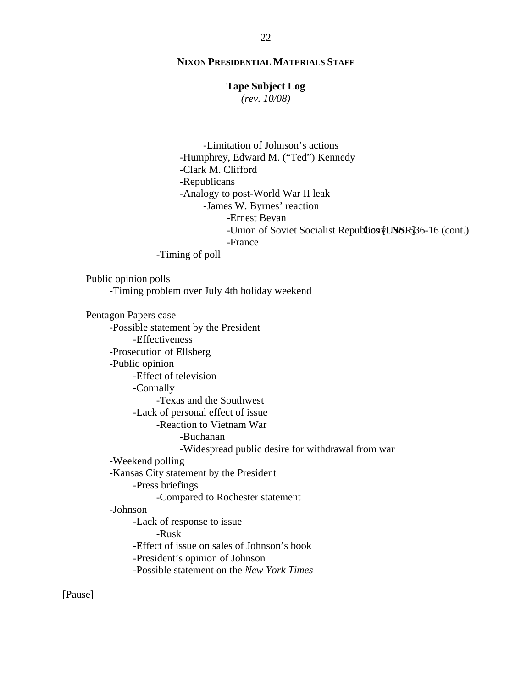#### **Tape Subject Log**

*(rev. 10/08)*

-Union of Soviet Socialist Republica [USSR] 36-16 (cont.) -Limitation of Johnson's actions -Humphrey, Edward M. ("Ted") Kennedy -Clark M. Clifford -Republicans -Analogy to post-World War II leak -James W. Byrnes' reaction -Ernest Bevan -France -Timing of poll Public opinion polls -Timing problem over July 4th holiday weekend Pentagon Papers case -Possible statement by the President -Effectiveness -Prosecution of Ellsberg -Public opinion -Effect of television -Connally -Texas and the Southwest -Lack of personal effect of issue -Reaction to Vietnam War -Buchanan -Widespread public desire for withdrawal from war -Weekend polling -Kansas City statement by the President -Press briefings -Compared to Rochester statement -Johnson -Lack of response to issue -Rusk -Effect of issue on sales of Johnson's book -President's opinion of Johnson -Possible statement on the *New York Times*

[Pause]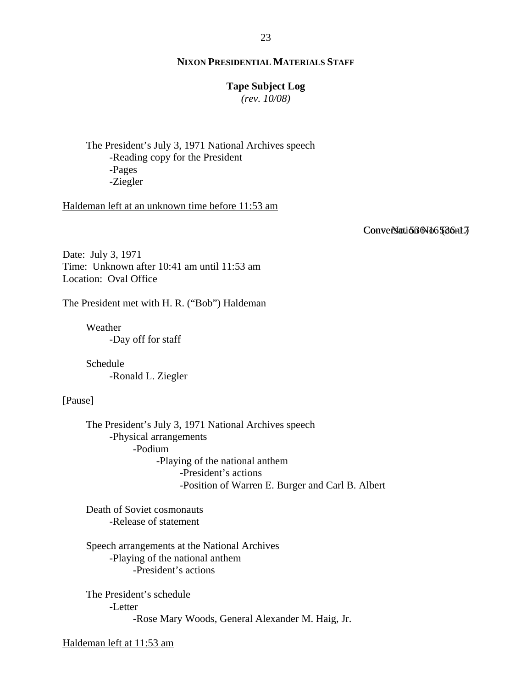#### **Tape Subject Log**

*(rev. 10/08)*

The President's July 3, 1971 National Archives speech -Reading copy for the President -Pages -Ziegler

Haldeman left at an unknown time before 11:53 am

Conversation No. 536nt.7

Date: July 3, 1971 Time: Unknown after 10:41 am until 11:53 am Location: Oval Office

The President met with H. R. ("Bob") Haldeman

Weather -Day off for staff

Schedule -Ronald L. Ziegler

[Pause]

The President's July 3, 1971 National Archives speech -Physical arrangements -Podium -Playing of the national anthem -President's actions -Position of Warren E. Burger and Carl B. Albert

Death of Soviet cosmonauts -Release of statement

Speech arrangements at the National Archives -Playing of the national anthem -President's actions

The President's schedule -Letter -Rose Mary Woods, General Alexander M. Haig, Jr.

Haldeman left at 11:53 am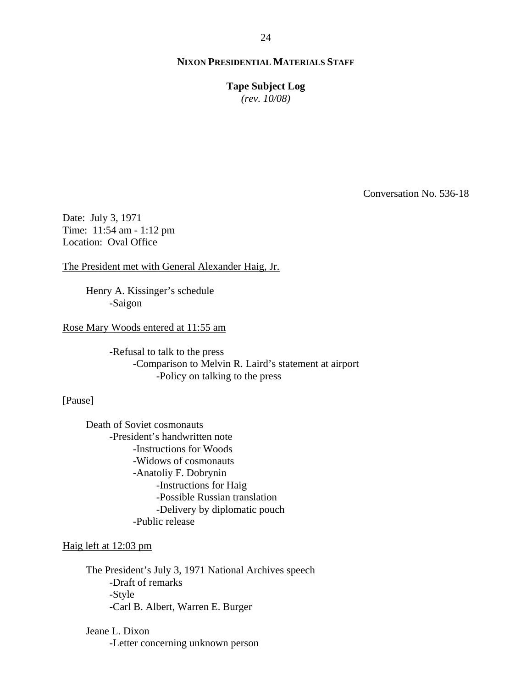**Tape Subject Log** *(rev. 10/08)*

Conversation No. 536-18

Date: July 3, 1971 Time: 11:54 am - 1:12 pm Location: Oval Office

The President met with General Alexander Haig, Jr.

Henry A. Kissinger's schedule -Saigon

Rose Mary Woods entered at 11:55 am

-Refusal to talk to the press -Comparison to Melvin R. Laird's statement at airport -Policy on talking to the press

[Pause]

Death of Soviet cosmonauts -President's handwritten note -Instructions for Woods -Widows of cosmonauts -Anatoliy F. Dobrynin -Instructions for Haig -Possible Russian translation -Delivery by diplomatic pouch -Public release

Haig left at 12:03 pm

The President's July 3, 1971 National Archives speech -Draft of remarks -Style -Carl B. Albert, Warren E. Burger

Jeane L. Dixon -Letter concerning unknown person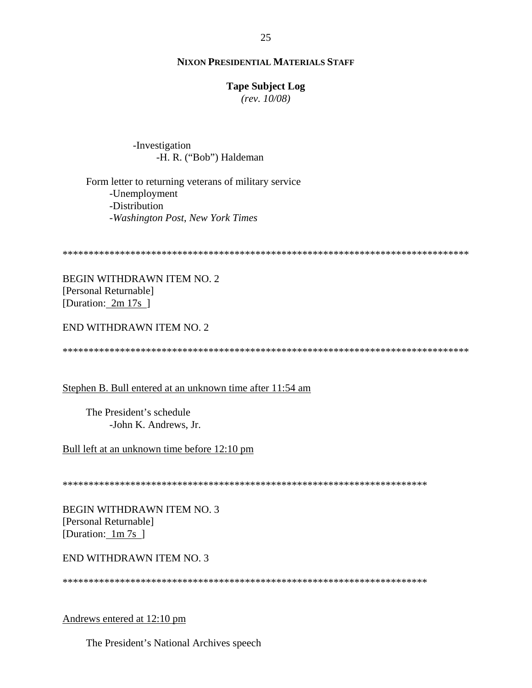#### **Tape Subject Log**

*(rev. 10/08)*

-Investigation -H. R. ("Bob") Haldeman

Form letter to returning veterans of military service -Unemployment -Distribution -*Washington Post*, *New York Times*

```
******************************************************************************
```
BEGIN WITHDRAWN ITEM NO. 2 [Personal Returnable] [Duration: 2m 17s]

END WITHDRAWN ITEM NO. 2

\*\*\*\*\*\*\*\*\*\*\*\*\*\*\*\*\*\*\*\*\*\*\*\*\*\*\*\*\*\*\*\*\*\*\*\*\*\*\*\*\*\*\*\*\*\*\*\*\*\*\*\*\*\*\*\*\*\*\*\*\*\*\*\*\*\*\*\*\*\*\*\*\*\*\*\*\*\*

# Stephen B. Bull entered at an unknown time after 11:54 am

The President's schedule -John K. Andrews, Jr.

Bull left at an unknown time before 12:10 pm

\*\*\*\*\*\*\*\*\*\*\*\*\*\*\*\*\*\*\*\*\*\*\*\*\*\*\*\*\*\*\*\*\*\*\*\*\*\*\*\*\*\*\*\*\*\*\*\*\*\*\*\*\*\*\*\*\*\*\*\*\*\*\*\*\*\*\*\*\*\*

BEGIN WITHDRAWN ITEM NO. 3 [Personal Returnable] [Duration: 1m 7s ]

#### END WITHDRAWN ITEM NO. 3

\*\*\*\*\*\*\*\*\*\*\*\*\*\*\*\*\*\*\*\*\*\*\*\*\*\*\*\*\*\*\*\*\*\*\*\*\*\*\*\*\*\*\*\*\*\*\*\*\*\*\*\*\*\*\*\*\*\*\*\*\*\*\*\*\*\*\*\*\*\*

Andrews entered at 12:10 pm

The President's National Archives speech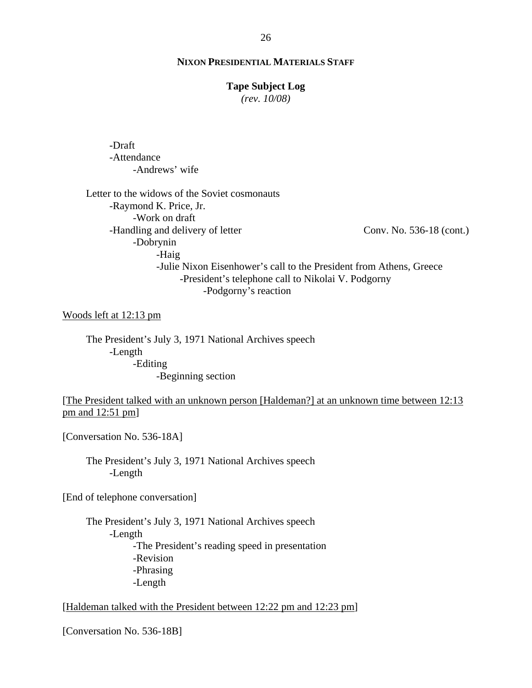#### **Tape Subject Log**

*(rev. 10/08)*

-Draft -Attendance -Andrews' wife

Conv. No. 536-18 (cont.) Letter to the widows of the Soviet cosmonauts -Raymond K. Price, Jr. -Work on draft -Handling and delivery of letter -Dobrynin -Haig -Julie Nixon Eisenhower's call to the President from Athens, Greece -President's telephone call to Nikolai V. Podgorny -Podgorny's reaction

Woods left at 12:13 pm

The President's July 3, 1971 National Archives speech -Length -Editing -Beginning section

[The President talked with an unknown person [Haldeman?] at an unknown time between 12:13 pm and 12:51 pm]

[Conversation No. 536-18A]

The President's July 3, 1971 National Archives speech -Length

[End of telephone conversation]

The President's July 3, 1971 National Archives speech -Length -The President's reading speed in presentation -Revision -Phrasing -Length

[Haldeman talked with the President between 12:22 pm and 12:23 pm]

[Conversation No. 536-18B]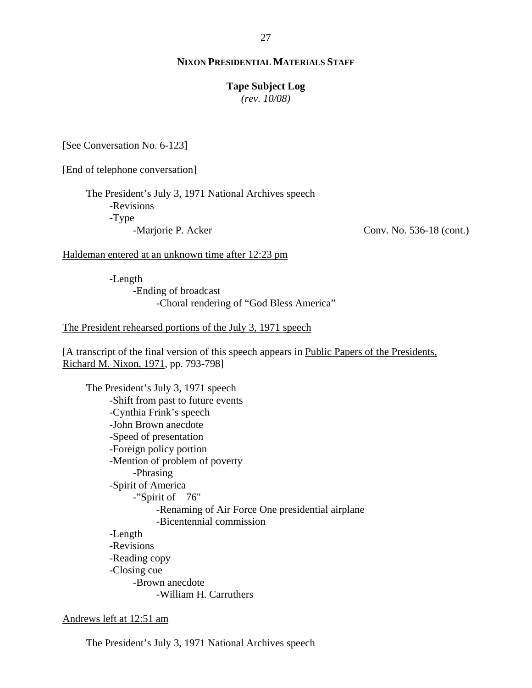#### **Tape Subject Log**

*(rev. 10/08)*

[See Conversation No. 6-123]

[End of telephone conversation]

The President's July 3, 1971 National Archives speech -Revisions -Type -Marjorie P. Acker

Conv. No. 536-18 (cont.)

Haldeman entered at an unknown time after 12:23 pm

-Length -Ending of broadcast -Choral rendering of "God Bless America"

The President rehearsed portions of the July 3, 1971 speech

[A transcript of the final version of this speech appears in Public Papers of the Presidents, Richard M. Nixon, 1971, pp. 793-798]

The President's July 3, 1971 speech -Shift from past to future events -Cynthia Frink's speech -John Brown anecdote -Speed of presentation -Foreign policy portion -Mention of problem of poverty -Phrasing -Spirit of America -"Spirit of 76" -Renaming of Air Force One presidential airplane -Bicentennial commission -Length -Revisions -Reading copy -Closing cue -Brown anecdote -William H. Carruthers

#### Andrews left at 12:51 am

The President's July 3, 1971 National Archives speech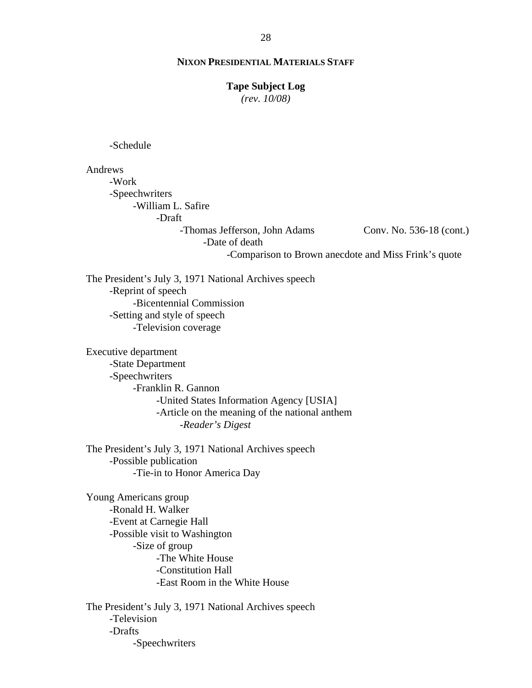#### **Tape Subject Log**

*(rev. 10/08)*

-Schedule

Conv. No. 536-18 (cont.) Andrews -Work -Speechwriters -William L. Safire -Draft -Thomas Jefferson, John Adams -Date of death -Comparison to Brown anecdote and Miss Frink's quote

The President's July 3, 1971 National Archives speech -Reprint of speech -Bicentennial Commission -Setting and style of speech -Television coverage

Executive department -State Department -Speechwriters -Franklin R. Gannon -United States Information Agency [USIA] -Article on the meaning of the national anthem -*Reader's Digest*

The President's July 3, 1971 National Archives speech -Possible publication -Tie-in to Honor America Day

Young Americans group -Ronald H. Walker -Event at Carnegie Hall -Possible visit to Washington -Size of group -The White House -Constitution Hall -East Room in the White House

The President's July 3, 1971 National Archives speech -Television -Drafts -Speechwriters